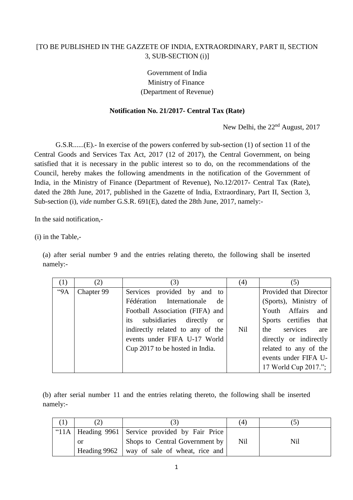## [TO BE PUBLISHED IN THE GAZZETE OF INDIA, EXTRAORDINARY, PART II, SECTION 3, SUB-SECTION (i)]

## Government of India Ministry of Finance (Department of Revenue)

## **Notification No. 21/2017- Central Tax (Rate)**

New Delhi, the 22<sup>nd</sup> August, 2017

G.S.R......(E).- In exercise of the powers conferred by sub-section (1) of section 11 of the Central Goods and Services Tax Act, 2017 (12 of 2017), the Central Government, on being satisfied that it is necessary in the public interest so to do, on the recommendations of the Council, hereby makes the following amendments in the notification of the Government of India, in the Ministry of Finance (Department of Revenue), No.12/2017- Central Tax (Rate), dated the 28th June, 2017, published in the Gazette of India, Extraordinary, Part II, Section 3, Sub-section (i), *vide* number G.S.R. 691(E), dated the 28th June, 2017, namely:-

In the said notification,-

(i) in the Table,-

(a) after serial number 9 and the entries relating thereto, the following shall be inserted namely:-

| (1) | (2)        | (3)                                          | (4) | (5)                    |
|-----|------------|----------------------------------------------|-----|------------------------|
| 9A  | Chapter 99 | Services provided by and to                  |     | Provided that Director |
|     |            | Fédération Internationale<br>de <sub>1</sub> |     | (Sports), Ministry of  |
|     |            | Football Association (FIFA) and              |     | Youth Affairs and      |
|     |            | its subsidiaries directly or                 |     | Sports certifies that  |
|     |            | indirectly related to any of the             | Nil | services<br>the<br>are |
|     |            | events under FIFA U-17 World                 |     | directly or indirectly |
|     |            | Cup 2017 to be hosted in India.              |     | related to any of the  |
|     |            |                                              |     | events under FIFA U-   |
|     |            |                                              |     | 17 World Cup 2017.";   |

(b) after serial number 11 and the entries relating thereto, the following shall be inserted namely:-

|  |              |                                                      | (4) |     |
|--|--------------|------------------------------------------------------|-----|-----|
|  |              | "11A   Heading 9961   Service provided by Fair Price |     |     |
|  | -or          | Shops to Central Government by                       | Nil | Nil |
|  | Heading 9962 | way of sale of wheat, rice and                       |     |     |